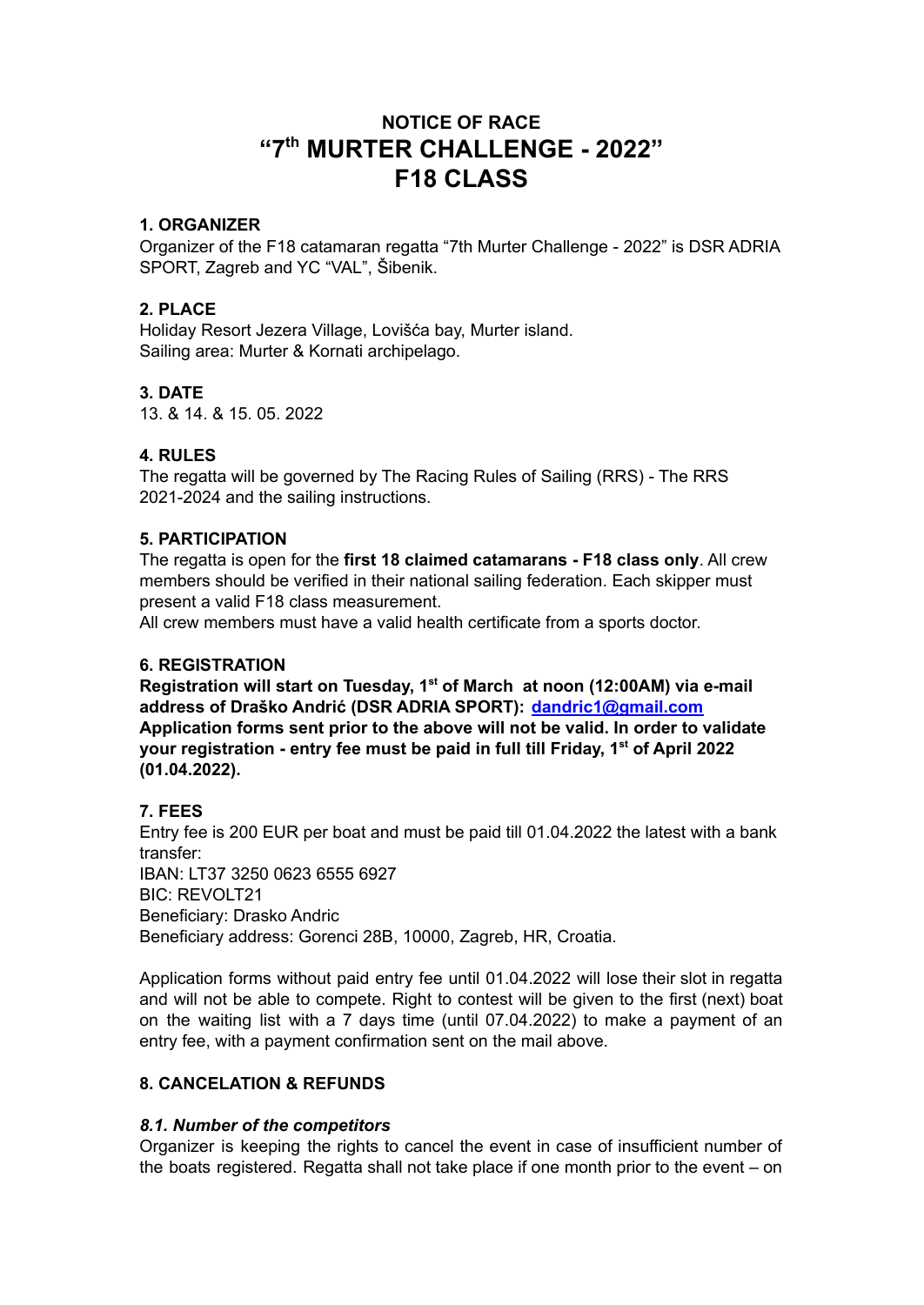# **NOTICE OF RACE "7 th MURTER CHALLENGE - 2022" F18 CLASS**

# **1. ORGANIZER**

Organizer of the F18 catamaran regatta "7th Murter Challenge - 2022" is DSR ADRIA SPORT, Zagreb and YC "VAL", Šibenik.

### **2. PLACE**

Holiday Resort Jezera Village, Lovišća bay, Murter island. Sailing area: Murter & Kornati archipelago.

# **3. DATE**

13. & 14. & 15. 05. 2022

# **4. RULES**

The regatta will be governed by The Racing Rules of Sailing (RRS) - The RRS 2021-2024 and the sailing instructions.

### **5. PARTICIPATION**

The regatta is open for the **first 18 claimed catamarans - F18 class only**. All crew members should be verified in their national sailing federation. Each skipper must present a valid F18 class measurement.

All crew members must have a valid health certificate from a sports doctor.

### **6. REGISTRATION**

**Registration will start on Tuesday, 1 st of March at noon (12:00AM) via e-mail address of Draško Andrić (DSR ADRIA SPORT): [dandric1@gmail.com](mailto:dandric1@gmail.com) Application forms sent prior to the above will not be valid. In order to validate your registration - entry fee must be paid in full till Friday, 1 st of April 2022 (01.04.2022).**

### **7. FEES**

Entry fee is 200 EUR per boat and must be paid till 01.04.2022 the latest with a bank transfer: IBAN: LT37 3250 0623 6555 6927 BIC: REVOLT21 Beneficiary: Drasko Andric Beneficiary address: Gorenci 28B, 10000, Zagreb, HR, Croatia.

Application forms without paid entry fee until 01.04.2022 will lose their slot in regatta and will not be able to compete. Right to contest will be given to the first (next) boat on the waiting list with a 7 days time (until 07.04.2022) to make a payment of an entry fee, with a payment confirmation sent on the mail above.

# **8. CANCELATION & REFUNDS**

### *8.1. Number of the competitors*

Organizer is keeping the rights to cancel the event in case of insufficient number of the boats registered. Regatta shall not take place if one month prior to the event – on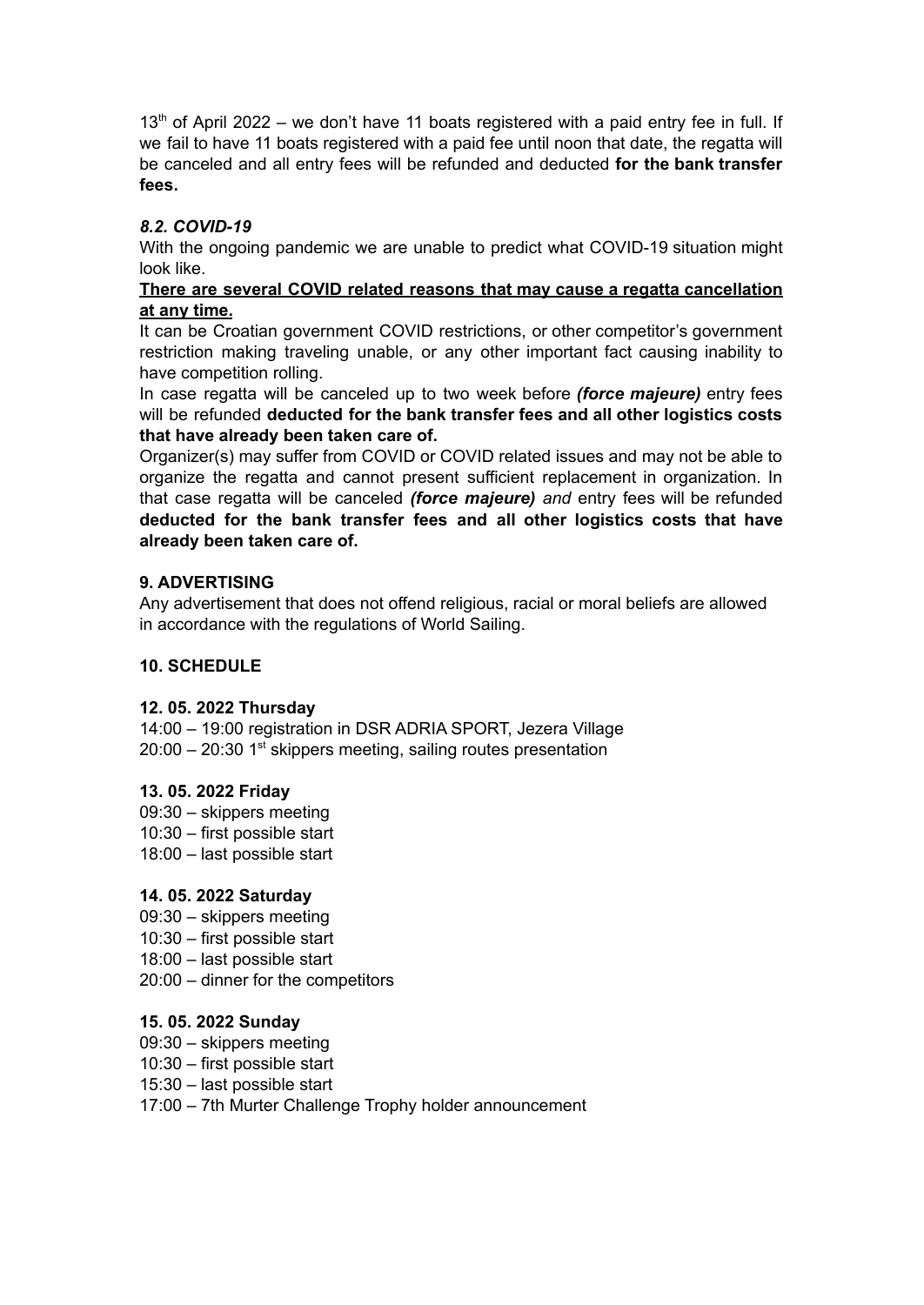$13<sup>th</sup>$  of April 2022 – we don't have 11 boats registered with a paid entry fee in full. If we fail to have 11 boats registered with a paid fee until noon that date, the regatta will be canceled and all entry fees will be refunded and deducted **for the bank transfer fees.**

# *8.2. COVID-19*

With the ongoing pandemic we are unable to predict what COVID-19 situation might look like.

#### **There are several COVID related reasons that may cause a regatta cancellation at any time.**

It can be Croatian government COVID restrictions, or other competitor's government restriction making traveling unable, or any other important fact causing inability to have competition rolling.

In case regatta will be canceled up to two week before *(force majeure)* entry fees will be refunded **deducted for the bank transfer fees and all other logistics costs that have already been taken care of.**

Organizer(s) may suffer from COVID or COVID related issues and may not be able to organize the regatta and cannot present sufficient replacement in organization. In that case regatta will be canceled *(force majeure) and* entry fees will be refunded **deducted for the bank transfer fees and all other logistics costs that have already been taken care of.**

### **9. ADVERTISING**

Any advertisement that does not offend religious, racial or moral beliefs are allowed in accordance with the regulations of World Sailing.

#### **10. SCHEDULE**

#### **12. 05. 2022 Thursday**

14:00 – 19:00 registration in DSR ADRIA SPORT, Jezera Village  $20:00 - 20:30$  1<sup>st</sup> skippers meeting, sailing routes presentation

#### **13. 05. 2022 Friday**

09:30 – skippers meeting 10:30 – first possible start 18:00 – last possible start

### **14. 05. 2022 Saturday**

- 09:30 skippers meeting
- 10:30 first possible start
- 18:00 last possible start
- 20:00 dinner for the competitors

### **15. 05. 2022 Sunday**

- 09:30 skippers meeting
- 10:30 first possible start
- 15:30 last possible start
- 17:00 7th Murter Challenge Trophy holder announcement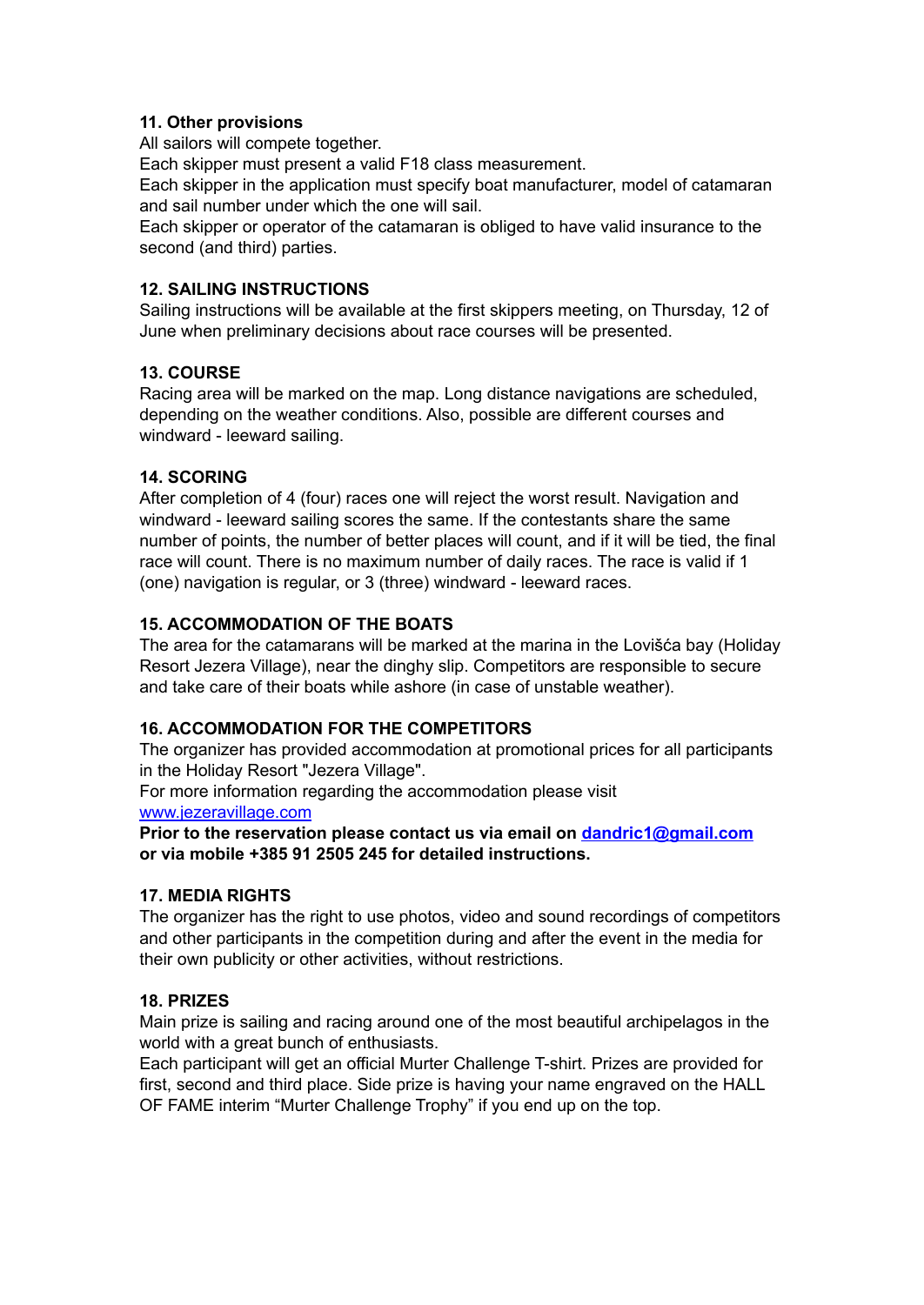# **11. Other provisions**

All sailors will compete together.

Each skipper must present a valid F18 class measurement.

Each skipper in the application must specify boat manufacturer, model of catamaran and sail number under which the one will sail.

Each skipper or operator of the catamaran is obliged to have valid insurance to the second (and third) parties.

# **12. SAILING INSTRUCTIONS**

Sailing instructions will be available at the first skippers meeting, on Thursday, 12 of June when preliminary decisions about race courses will be presented.

# **13. COURSE**

Racing area will be marked on the map. Long distance navigations are scheduled, depending on the weather conditions. Also, possible are different courses and windward - leeward sailing.

# **14. SCORING**

After completion of 4 (four) races one will reject the worst result. Navigation and windward - leeward sailing scores the same. If the contestants share the same number of points, the number of better places will count, and if it will be tied, the final race will count. There is no maximum number of daily races. The race is valid if 1 (one) navigation is regular, or 3 (three) windward - leeward races.

# **15. ACCOMMODATION OF THE BOATS**

The area for the catamarans will be marked at the marina in the Lovišća bay (Holiday Resort Jezera Village), near the dinghy slip. Competitors are responsible to secure and take care of their boats while ashore (in case of unstable weather).

# **16. ACCOMMODATION FOR THE COMPETITORS**

The organizer has provided accommodation at promotional prices for all participants in the Holiday Resort "Jezera Village".

For more information regarding the accommodation please visit [www.jezeravillage.com](http://www.jezeravillage.com)

**Prior to the reservation please contact us via email on [dandric1@gmail.com](mailto:dandric1@gmail.com) or via mobile +385 91 2505 245 for detailed instructions.**

### **17. MEDIA RIGHTS**

The organizer has the right to use photos, video and sound recordings of competitors and other participants in the competition during and after the event in the media for their own publicity or other activities, without restrictions.

### **18. PRIZES**

Main prize is sailing and racing around one of the most beautiful archipelagos in the world with a great bunch of enthusiasts.

Each participant will get an official Murter Challenge T-shirt. Prizes are provided for first, second and third place. Side prize is having your name engraved on the HALL OF FAME interim "Murter Challenge Trophy" if you end up on the top.